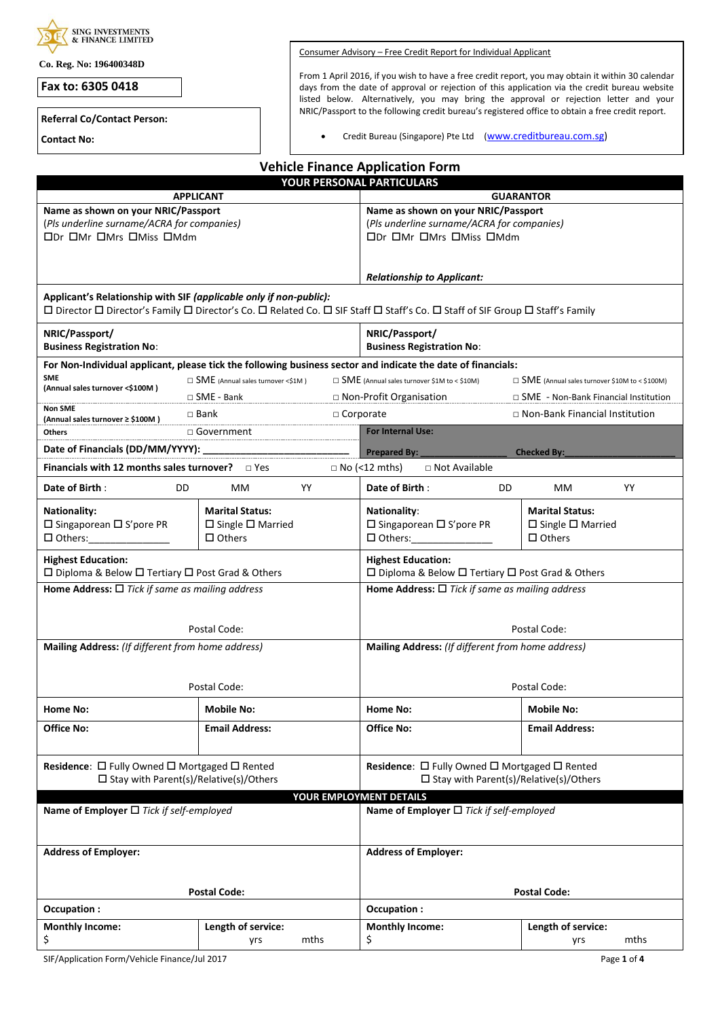| <b>SING INVESTMENTS</b><br>& FINANCE LIMITED                                                                                                                                                        |                                          |      |                                                                                                           |                             |                                                                                                                                                                                       |  |  |
|-----------------------------------------------------------------------------------------------------------------------------------------------------------------------------------------------------|------------------------------------------|------|-----------------------------------------------------------------------------------------------------------|-----------------------------|---------------------------------------------------------------------------------------------------------------------------------------------------------------------------------------|--|--|
|                                                                                                                                                                                                     |                                          |      | Consumer Advisory - Free Credit Report for Individual Applicant                                           |                             |                                                                                                                                                                                       |  |  |
| Co. Reg. No: 196400348D                                                                                                                                                                             |                                          |      | From 1 April 2016, if you wish to have a free credit report, you may obtain it within 30 calendar         |                             |                                                                                                                                                                                       |  |  |
| Fax to: 6305 0418                                                                                                                                                                                   |                                          |      |                                                                                                           |                             | days from the date of approval or rejection of this application via the credit bureau website<br>listed below. Alternatively, you may bring the approval or rejection letter and your |  |  |
| <b>Referral Co/Contact Person:</b>                                                                                                                                                                  |                                          |      |                                                                                                           |                             | NRIC/Passport to the following credit bureau's registered office to obtain a free credit report.                                                                                      |  |  |
| <b>Contact No:</b>                                                                                                                                                                                  |                                          |      | Credit Bureau (Singapore) Pte Ltd (www.creditbureau.com.sg)                                               |                             |                                                                                                                                                                                       |  |  |
|                                                                                                                                                                                                     |                                          |      | <b>Vehicle Finance Application Form</b>                                                                   |                             |                                                                                                                                                                                       |  |  |
|                                                                                                                                                                                                     |                                          |      | YOUR PERSONAL PARTICULARS                                                                                 |                             |                                                                                                                                                                                       |  |  |
| Name as shown on your NRIC/Passport                                                                                                                                                                 | <b>APPLICANT</b>                         |      |                                                                                                           |                             | <b>GUARANTOR</b>                                                                                                                                                                      |  |  |
| (Pls underline surname/ACRA for companies)                                                                                                                                                          |                                          |      | Name as shown on your NRIC/Passport<br>(Pls underline surname/ACRA for companies)                         |                             |                                                                                                                                                                                       |  |  |
| <b>ODr OMr OMrs OMiss OMdm</b>                                                                                                                                                                      |                                          |      | <b>ODr OMr OMrs OMiss OMdm</b>                                                                            |                             |                                                                                                                                                                                       |  |  |
|                                                                                                                                                                                                     |                                          |      |                                                                                                           |                             |                                                                                                                                                                                       |  |  |
|                                                                                                                                                                                                     |                                          |      | <b>Relationship to Applicant:</b>                                                                         |                             |                                                                                                                                                                                       |  |  |
| Applicant's Relationship with SIF (applicable only if non-public):<br>□ Director □ Director's Family □ Director's Co. □ Related Co. □ SIF Staff □ Staff's Co. □ Staff of SIF Group □ Staff's Family |                                          |      |                                                                                                           |                             |                                                                                                                                                                                       |  |  |
| NRIC/Passport/<br><b>Business Registration No:</b>                                                                                                                                                  |                                          |      | NRIC/Passport/<br><b>Business Registration No:</b>                                                        |                             |                                                                                                                                                                                       |  |  |
| For Non-Individual applicant, please tick the following business sector and indicate the date of financials:                                                                                        |                                          |      |                                                                                                           |                             |                                                                                                                                                                                       |  |  |
| <b>SME</b><br>(Annual sales turnover <\$100M)                                                                                                                                                       | $\Box$ SME (Annual sales turnover <\$1M) |      | $\Box$ SME (Annual sales turnover \$1M to < \$10M)                                                        |                             | $\Box$ SME (Annual sales turnover \$10M to < \$100M)                                                                                                                                  |  |  |
| <b>Non SME</b>                                                                                                                                                                                      | $\Box$ SME - Bank                        |      | $\Box$ Non-Profit Organisation                                                                            |                             | $\Box$ SME - Non-Bank Financial Institution                                                                                                                                           |  |  |
| (Annual sales turnover ≥ \$100M)                                                                                                                                                                    | $\Box$ Bank                              |      | $\Box$ Corporate<br><b>For Internal Use:</b>                                                              |                             | $\Box$ Non-Bank Financial Institution                                                                                                                                                 |  |  |
| Date of Financials (DD/MM/YYYY):                                                                                                                                                                    | □ Government<br>Others                   |      |                                                                                                           |                             |                                                                                                                                                                                       |  |  |
| <b>Financials with 12 months sales turnover?</b> $\Box$ Yes                                                                                                                                         |                                          |      | Prepared By:<br>$\Box$ No (<12 mths)<br>$\Box$ Not Available                                              |                             | <b>Checked By:</b>                                                                                                                                                                    |  |  |
| Date of Birth:<br>DD                                                                                                                                                                                | MM.                                      | YY   | Date of Birth:                                                                                            | DD                          | YY<br>МM                                                                                                                                                                              |  |  |
|                                                                                                                                                                                                     | <b>Marital Status:</b>                   |      |                                                                                                           |                             | <b>Marital Status:</b>                                                                                                                                                                |  |  |
| <b>Nationality:</b><br>$\Box$ Singaporean $\Box$ S'pore PR                                                                                                                                          | $\Box$ Single $\Box$ Married             |      | <b>Nationality:</b><br>$\Box$ Singaporean $\Box$ S'pore PR                                                |                             | $\Box$ Single $\Box$ Married                                                                                                                                                          |  |  |
| $\Box$ Others:                                                                                                                                                                                      | $\Box$ Others                            |      | $\Box$ Others:                                                                                            |                             | $\Box$ Others                                                                                                                                                                         |  |  |
| <b>Highest Education:</b>                                                                                                                                                                           |                                          |      | <b>Highest Education:</b>                                                                                 |                             |                                                                                                                                                                                       |  |  |
| □ Diploma & Below □ Tertiary □ Post Grad & Others<br>Home Address: $\Box$ Tick if same as mailing address                                                                                           |                                          |      | □ Diploma & Below □ Tertiary □ Post Grad & Others<br>Home Address: $\Box$ Tick if same as mailing address |                             |                                                                                                                                                                                       |  |  |
|                                                                                                                                                                                                     |                                          |      |                                                                                                           |                             |                                                                                                                                                                                       |  |  |
| Postal Code:                                                                                                                                                                                        |                                          |      | Postal Code:                                                                                              |                             |                                                                                                                                                                                       |  |  |
| Mailing Address: (If different from home address)                                                                                                                                                   |                                          |      | Mailing Address: (If different from home address)                                                         |                             |                                                                                                                                                                                       |  |  |
|                                                                                                                                                                                                     |                                          |      |                                                                                                           |                             |                                                                                                                                                                                       |  |  |
|                                                                                                                                                                                                     | Postal Code:                             |      |                                                                                                           |                             | Postal Code:                                                                                                                                                                          |  |  |
| Home No:                                                                                                                                                                                            | <b>Mobile No:</b>                        |      | Home No:                                                                                                  |                             | <b>Mobile No:</b>                                                                                                                                                                     |  |  |
| Office No:                                                                                                                                                                                          | <b>Email Address:</b>                    |      | <b>Office No:</b>                                                                                         |                             | <b>Email Address:</b>                                                                                                                                                                 |  |  |
|                                                                                                                                                                                                     |                                          |      |                                                                                                           |                             |                                                                                                                                                                                       |  |  |
| Residence: □ Fully Owned □ Mortgaged □ Rented<br>$\square$ Stay with Parent(s)/Relative(s)/Others                                                                                                   |                                          |      | Residence: □ Fully Owned □ Mortgaged □ Rented<br>$\square$ Stay with Parent(s)/Relative(s)/Others         |                             |                                                                                                                                                                                       |  |  |
|                                                                                                                                                                                                     |                                          |      | YOUR EMPLOYMENT DETAILS                                                                                   |                             |                                                                                                                                                                                       |  |  |
| Name of Employer $\Box$ Tick if self-employed                                                                                                                                                       |                                          |      | Name of Employer $\Box$ Tick if self-employed                                                             |                             |                                                                                                                                                                                       |  |  |
| <b>Address of Employer:</b>                                                                                                                                                                         |                                          |      |                                                                                                           | <b>Address of Employer:</b> |                                                                                                                                                                                       |  |  |
|                                                                                                                                                                                                     |                                          |      |                                                                                                           |                             |                                                                                                                                                                                       |  |  |
| Occupation:                                                                                                                                                                                         | <b>Postal Code:</b>                      |      | Occupation:                                                                                               |                             | <b>Postal Code:</b>                                                                                                                                                                   |  |  |
| <b>Monthly Income:</b>                                                                                                                                                                              | Length of service:                       |      | <b>Monthly Income:</b>                                                                                    |                             | Length of service:                                                                                                                                                                    |  |  |
| \$                                                                                                                                                                                                  | yrs                                      | mths | \$                                                                                                        |                             | mths<br>yrs                                                                                                                                                                           |  |  |

SIF/Application Form/Vehicle Finance/Jul 2017 **Page 1** of 4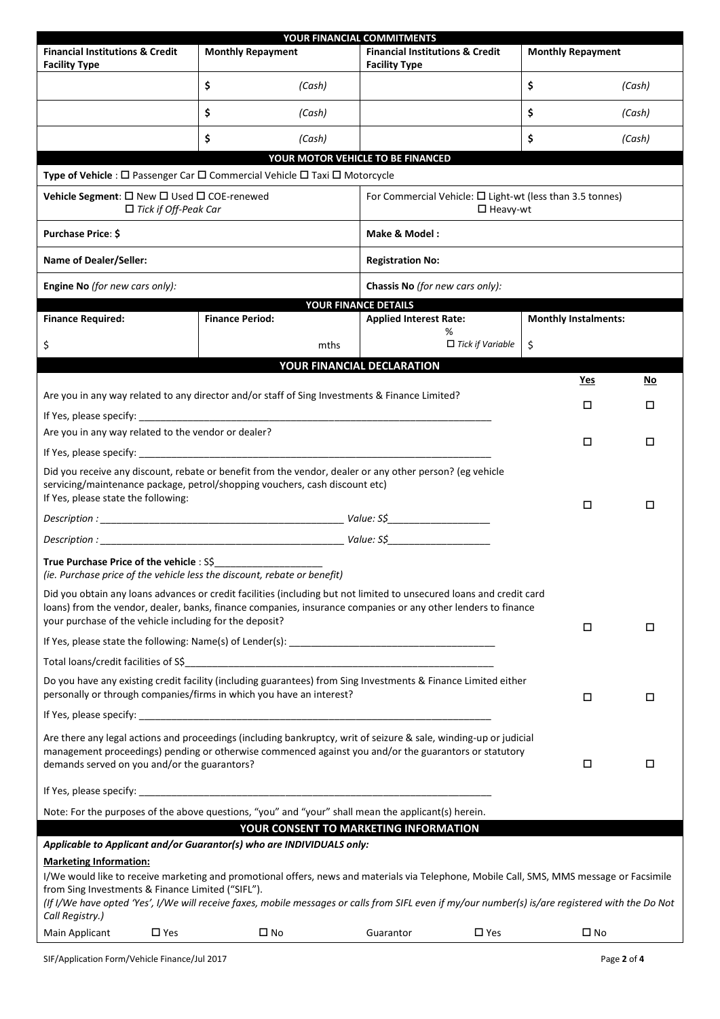|                                                                                                                                                   |                                                                                                          | YOUR FINANCIAL COMMITMENTS                                                        |                             |              |  |  |
|---------------------------------------------------------------------------------------------------------------------------------------------------|----------------------------------------------------------------------------------------------------------|-----------------------------------------------------------------------------------|-----------------------------|--------------|--|--|
| <b>Financial Institutions &amp; Credit</b><br><b>Facility Type</b>                                                                                | <b>Monthly Repayment</b>                                                                                 | <b>Financial Institutions &amp; Credit</b><br><b>Facility Type</b>                | <b>Monthly Repayment</b>    |              |  |  |
|                                                                                                                                                   | \$<br>(Cash)                                                                                             |                                                                                   | \$                          | (Cash)       |  |  |
|                                                                                                                                                   | \$<br>(Cash)                                                                                             |                                                                                   | \$                          | (Cash)       |  |  |
|                                                                                                                                                   | \$<br>(Cash)                                                                                             |                                                                                   | \$                          | (Cash)       |  |  |
|                                                                                                                                                   |                                                                                                          | YOUR MOTOR VEHICLE TO BE FINANCED                                                 |                             |              |  |  |
|                                                                                                                                                   | Type of Vehicle : □ Passenger Car □ Commercial Vehicle □ Taxi □ Motorcycle                               |                                                                                   |                             |              |  |  |
| Vehicle Segment: □ New □ Used □ COE-renewed<br>$\Box$ Tick if Off-Peak Car                                                                        |                                                                                                          | For Commercial Vehicle: $\Box$ Light-wt (less than 3.5 tonnes)<br>$\Box$ Heavy-wt |                             |              |  |  |
| Purchase Price: \$<br>Make & Model:                                                                                                               |                                                                                                          |                                                                                   |                             |              |  |  |
| Name of Dealer/Seller:                                                                                                                            |                                                                                                          | <b>Registration No:</b>                                                           |                             |              |  |  |
| Engine No (for new cars only):                                                                                                                    |                                                                                                          | Chassis No (for new cars only):                                                   |                             |              |  |  |
|                                                                                                                                                   |                                                                                                          | YOUR FINANCE DETAILS                                                              |                             |              |  |  |
| <b>Finance Required:</b>                                                                                                                          | <b>Finance Period:</b>                                                                                   | <b>Applied Interest Rate:</b><br>%                                                | <b>Monthly Instalments:</b> |              |  |  |
| \$                                                                                                                                                | mths                                                                                                     | $\Box$ Tick if Variable                                                           | \$                          |              |  |  |
|                                                                                                                                                   |                                                                                                          | YOUR FINANCIAL DECLARATION                                                        |                             |              |  |  |
|                                                                                                                                                   |                                                                                                          |                                                                                   | Yes                         | No           |  |  |
|                                                                                                                                                   | Are you in any way related to any director and/or staff of Sing Investments & Finance Limited?           |                                                                                   |                             |              |  |  |
|                                                                                                                                                   |                                                                                                          |                                                                                   | □                           | □            |  |  |
|                                                                                                                                                   |                                                                                                          |                                                                                   |                             |              |  |  |
| Are you in any way related to the vendor or dealer?                                                                                               | □                                                                                                        | □                                                                                 |                             |              |  |  |
|                                                                                                                                                   |                                                                                                          |                                                                                   |                             |              |  |  |
|                                                                                                                                                   | Did you receive any discount, rebate or benefit from the vendor, dealer or any other person? (eg vehicle |                                                                                   |                             |              |  |  |
| servicing/maintenance package, petrol/shopping vouchers, cash discount etc)<br>If Yes, please state the following:<br>□<br>□                      |                                                                                                          |                                                                                   |                             |              |  |  |
|                                                                                                                                                   |                                                                                                          |                                                                                   |                             |              |  |  |
| $\overline{\text{Description:}}$                                                                                                                  |                                                                                                          |                                                                                   |                             |              |  |  |
|                                                                                                                                                   |                                                                                                          |                                                                                   |                             |              |  |  |
| Did you obtain any loans advances or credit facilities (including but not limited to unsecured loans and credit card                              |                                                                                                          |                                                                                   |                             |              |  |  |
| loans) from the vendor, dealer, banks, finance companies, insurance companies or any other lenders to finance                                     |                                                                                                          |                                                                                   |                             |              |  |  |
| your purchase of the vehicle including for the deposit?<br>$\Box$<br>□                                                                            |                                                                                                          |                                                                                   |                             |              |  |  |
|                                                                                                                                                   |                                                                                                          |                                                                                   |                             |              |  |  |
|                                                                                                                                                   |                                                                                                          |                                                                                   |                             |              |  |  |
| Do you have any existing credit facility (including guarantees) from Sing Investments & Finance Limited either                                    |                                                                                                          |                                                                                   |                             |              |  |  |
| personally or through companies/firms in which you have an interest?<br>$\Box$<br>□                                                               |                                                                                                          |                                                                                   |                             |              |  |  |
|                                                                                                                                                   |                                                                                                          |                                                                                   |                             |              |  |  |
| Are there any legal actions and proceedings (including bankruptcy, writ of seizure & sale, winding-up or judicial                                 |                                                                                                          |                                                                                   |                             |              |  |  |
| management proceedings) pending or otherwise commenced against you and/or the guarantors or statutory                                             |                                                                                                          |                                                                                   |                             |              |  |  |
| demands served on you and/or the guarantors?                                                                                                      |                                                                                                          |                                                                                   | □                           | □            |  |  |
|                                                                                                                                                   |                                                                                                          |                                                                                   |                             |              |  |  |
| Note: For the purposes of the above questions, "you" and "your" shall mean the applicant(s) herein.                                               |                                                                                                          |                                                                                   |                             |              |  |  |
| YOUR CONSENT TO MARKETING INFORMATION                                                                                                             |                                                                                                          |                                                                                   |                             |              |  |  |
| Applicable to Applicant and/or Guarantor(s) who are INDIVIDUALS only:                                                                             |                                                                                                          |                                                                                   |                             |              |  |  |
| <b>Marketing Information:</b>                                                                                                                     |                                                                                                          |                                                                                   |                             |              |  |  |
| I/We would like to receive marketing and promotional offers, news and materials via Telephone, Mobile Call, SMS, MMS message or Facsimile         |                                                                                                          |                                                                                   |                             |              |  |  |
| from Sing Investments & Finance Limited ("SIFL").                                                                                                 |                                                                                                          |                                                                                   |                             |              |  |  |
| (If I/We have opted 'Yes', I/We will receive faxes, mobile messages or calls from SIFL even if my/our number(s) is/are registered with the Do Not |                                                                                                          |                                                                                   |                             |              |  |  |
| Call Registry.)                                                                                                                                   |                                                                                                          |                                                                                   |                             |              |  |  |
| Main Applicant<br>$\square$ Yes                                                                                                                   | $\square$ No                                                                                             | Guarantor<br>$\square$ Yes                                                        |                             | $\square$ No |  |  |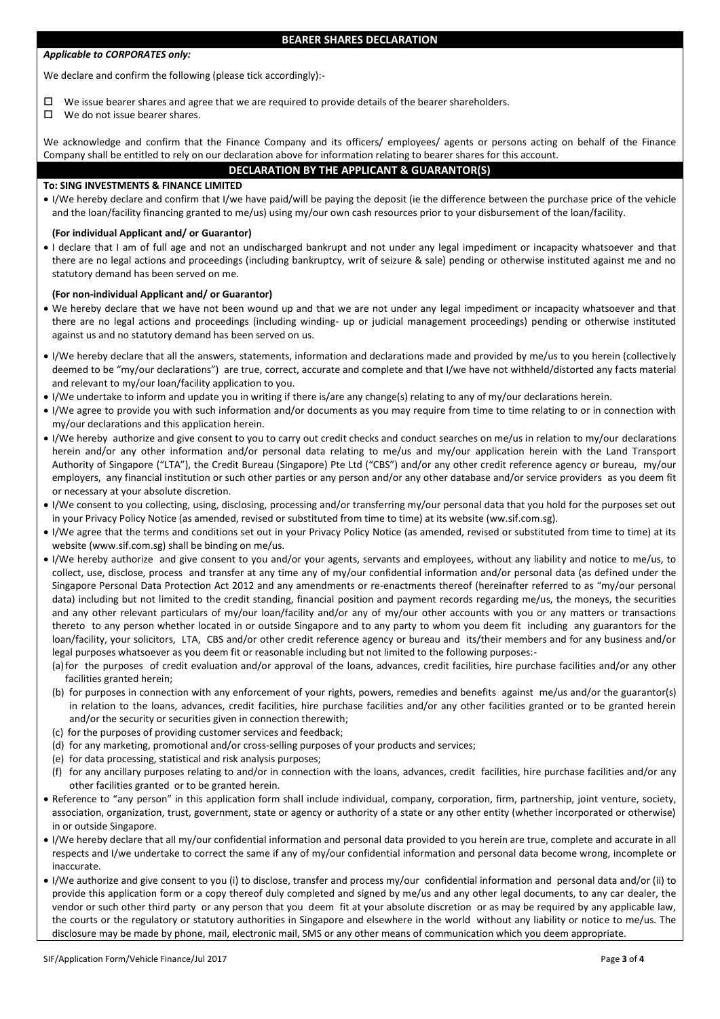# *Applicable to CORPORATES only:*

#### **BEARER SHARES DECLARATION**

We declare and confirm the following (please tick accordingly):-

- We issue bearer shares and agree that we are required to provide details of the bearer shareholders.
- $\Box$  We do not issue bearer shares.

We acknowledge and confirm that the Finance Company and its officers/ employees/ agents or persons acting on behalf of the Finance Company shall be entitled to rely on our declaration above for information relating to bearer shares for this account.

# **DECLARATION BY THE APPLICANT & GUARANTOR(S)**

# **To: SING INVESTMENTS & FINANCE LIMITED**

 I/We hereby declare and confirm that I/we have paid/will be paying the deposit (ie the difference between the purchase price of the vehicle and the loan/facility financing granted to me/us) using my/our own cash resources prior to your disbursement of the loan/facility.

# **(For individual Applicant and/ or Guarantor)**

 I declare that I am of full age and not an undischarged bankrupt and not under any legal impediment or incapacity whatsoever and that there are no legal actions and proceedings (including bankruptcy, writ of seizure & sale) pending or otherwise instituted against me and no statutory demand has been served on me.

#### **(For non-individual Applicant and/ or Guarantor)**

- We hereby declare that we have not been wound up and that we are not under any legal impediment or incapacity whatsoever and that there are no legal actions and proceedings (including winding- up or judicial management proceedings) pending or otherwise instituted against us and no statutory demand has been served on us.
- I/We hereby declare that all the answers, statements, information and declarations made and provided by me/us to you herein (collectively deemed to be "my/our declarations") are true, correct, accurate and complete and that I/we have not withheld/distorted any facts material and relevant to my/our loan/facility application to you.
- I/We undertake to inform and update you in writing if there is/are any change(s) relating to any of my/our declarations herein.
- I/We agree to provide you with such information and/or documents as you may require from time to time relating to or in connection with my/our declarations and this application herein.
- I/We hereby authorize and give consent to you to carry out credit checks and conduct searches on me/us in relation to my/our declarations herein and/or any other information and/or personal data relating to me/us and my/our application herein with the Land Transport Authority of Singapore ("LTA"), the Credit Bureau (Singapore) Pte Ltd ("CBS") and/or any other credit reference agency or bureau, my/our employers, any financial institution or such other parties or any person and/or any other database and/or service providers as you deem fit or necessary at your absolute discretion.
- I/We consent to you collecting, using, disclosing, processing and/or transferring my/our personal data that you hold for the purposes set out in your Privacy Policy Notice (as amended, revised or substituted from time to time) at its website (ww.sif.com.sg).
- I/We agree that the terms and conditions set out in your Privacy Policy Notice (as amended, revised or substituted from time to time) at its website (www.sif.com.sg) shall be binding on me/us.
- I/We hereby authorize and give consent to you and/or your agents, servants and employees, without any liability and notice to me/us, to collect, use, disclose, process and transfer at any time any of my/our confidential information and/or personal data (as defined under the Singapore Personal Data Protection Act 2012 and any amendments or re-enactments thereof (hereinafter referred to as "my/our personal data) including but not limited to the credit standing, financial position and payment records regarding me/us, the moneys, the securities and any other relevant particulars of my/our loan/facility and/or any of my/our other accounts with you or any matters or transactions thereto to any person whether located in or outside Singapore and to any party to whom you deem fit including any guarantors for the loan/facility, your solicitors, LTA, CBS and/or other credit reference agency or bureau and its/their members and for any business and/or legal purposes whatsoever as you deem fit or reasonable including but not limited to the following purposes:-
	- (a)for the purposes of credit evaluation and/or approval of the loans, advances, credit facilities, hire purchase facilities and/or any other facilities granted herein;
	- (b) for purposes in connection with any enforcement of your rights, powers, remedies and benefits against me/us and/or the guarantor(s) in relation to the loans, advances, credit facilities, hire purchase facilities and/or any other facilities granted or to be granted herein and/or the security or securities given in connection therewith;
	- (c) for the purposes of providing customer services and feedback;
	- (d) for any marketing, promotional and/or cross-selling purposes of your products and services;
	- (e) for data processing, statistical and risk analysis purposes;
	- (f) for any ancillary purposes relating to and/or in connection with the loans, advances, credit facilities, hire purchase facilities and/or any other facilities granted or to be granted herein.
- Reference to "any person" in this application form shall include individual, company, corporation, firm, partnership, joint venture, society, association, organization, trust, government, state or agency or authority of a state or any other entity (whether incorporated or otherwise) in or outside Singapore.
- I/We hereby declare that all my/our confidential information and personal data provided to you herein are true, complete and accurate in all respects and I/we undertake to correct the same if any of my/our confidential information and personal data become wrong, incomplete or inaccurate.
- I/We authorize and give consent to you (i) to disclose, transfer and process my/our confidential information and personal data and/or (ii) to provide this application form or a copy thereof duly completed and signed by me/us and any other legal documents, to any car dealer, the vendor or such other third party or any person that you deem fit at your absolute discretion or as may be required by any applicable law, the courts or the regulatory or statutory authorities in Singapore and elsewhere in the world without any liability or notice to me/us. The disclosure may be made by phone, mail, electronic mail, SMS or any other means of communication which you deem appropriate.